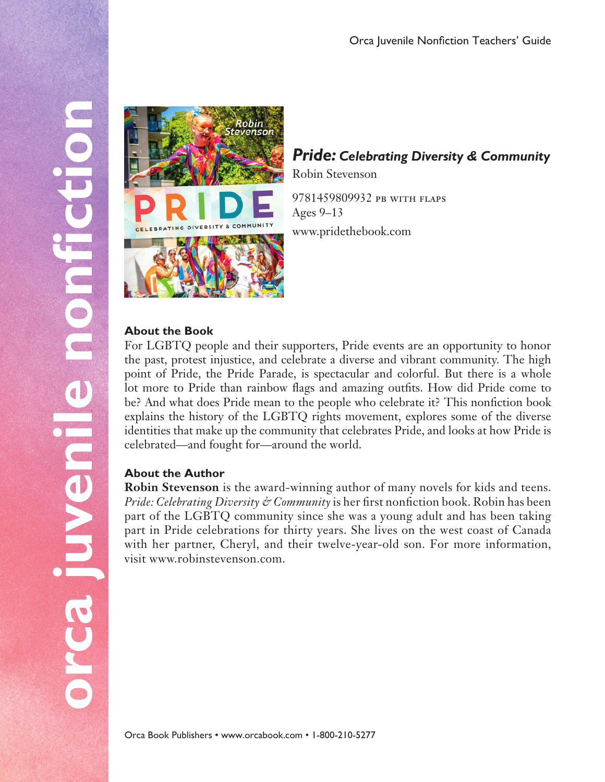

# *Pride: Celebrating Diversity & Community*

Robin Stevenson

9781459809932 pb with flaps Ages 9–13

www.pridethebook.com

#### **About the Book**

For LGBTQ people and their supporters, Pride events are an opportunity to honor the past, protest injustice, and celebrate a diverse and vibrant community. The high point of Pride, the Pride Parade, is spectacular and colorful. But there is a whole lot more to Pride than rainbow flags and amazing outfits. How did Pride come to be? And what does Pride mean to the people who celebrate it? This nonfiction book explains the history of the LGBTQ rights movement, explores some of the diverse identities that make up the community that celebrates Pride, and looks at how Pride is celebrated—and fought for—around the world.

## **About the Author**

**Robin Stevenson** is the award-winning author of many novels for kids and teens. *Pride: Celebrating Diversity & Community* is her first nonfiction book. Robin has been part of the LGBTQ community since she was a young adult and has been taking part in Pride celebrations for thirty years. She lives on the west coast of Canada with her partner, Cheryl, and their twelve-year-old son. For more information, visit www.robinstevenson.com.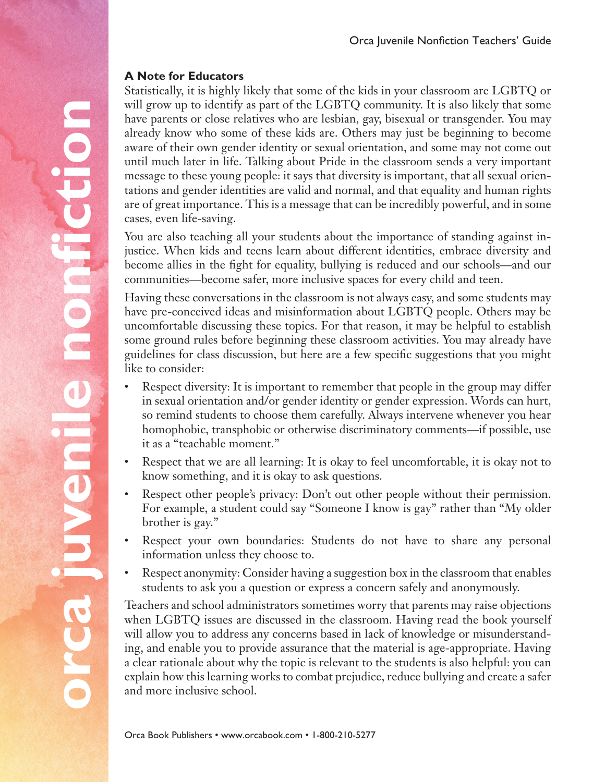## **A Note for Educators**

nonfiction

orca juvenie

Statistically, it is highly likely that some of the kids in your classroom are LGBTQ or will grow up to identify as part of the LGBTQ community. It is also likely that some have parents or close relatives who are lesbian, gay, bisexual or transgender. You may already know who some of these kids are. Others may just be beginning to become aware of their own gender identity or sexual orientation, and some may not come out until much later in life. Talking about Pride in the classroom sends a very important message to these young people: it says that diversity is important, that all sexual orientations and gender identities are valid and normal, and that equality and human rights are of great importance. This is a message that can be incredibly powerful, and in some cases, even life-saving.

You are also teaching all your students about the importance of standing against injustice. When kids and teens learn about different identities, embrace diversity and become allies in the fight for equality, bullying is reduced and our schools—and our communities—become safer, more inclusive spaces for every child and teen.

Having these conversations in the classroom is not always easy, and some students may have pre-conceived ideas and misinformation about LGBTQ people. Others may be uncomfortable discussing these topics. For that reason, it may be helpful to establish some ground rules before beginning these classroom activities. You may already have guidelines for class discussion, but here are a few specific suggestions that you might like to consider:

- Respect diversity: It is important to remember that people in the group may differ in sexual orientation and/or gender identity or gender expression. Words can hurt, so remind students to choose them carefully. Always intervene whenever you hear homophobic, transphobic or otherwise discriminatory comments—if possible, use it as a "teachable moment."
- Respect that we are all learning: It is okay to feel uncomfortable, it is okay not to know something, and it is okay to ask questions.
- Respect other people's privacy: Don't out other people without their permission. For example, a student could say "Someone I know is gay" rather than "My older brother is gay."
- Respect your own boundaries: Students do not have to share any personal information unless they choose to.
- Respect anonymity: Consider having a suggestion box in the classroom that enables students to ask you a question or express a concern safely and anonymously.

Teachers and school administrators sometimes worry that parents may raise objections when LGBTQ issues are discussed in the classroom. Having read the book yourself will allow you to address any concerns based in lack of knowledge or misunderstanding, and enable you to provide assurance that the material is age-appropriate. Having a clear rationale about why the topic is relevant to the students is also helpful: you can explain how this learning works to combat prejudice, reduce bullying and create a safer and more inclusive school.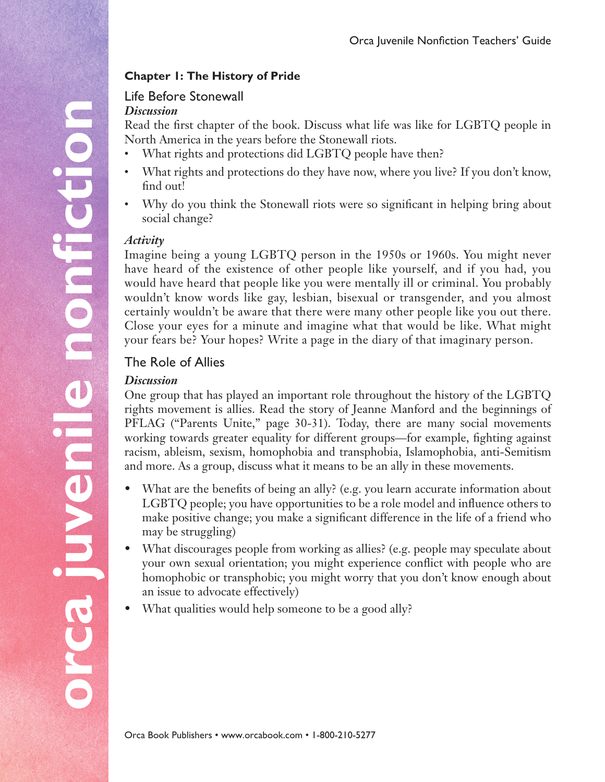## **Chapter 1: The History of Pride**

# Life Before Stonewall

#### *Discussion*

Read the first chapter of the book. Discuss what life was like for LGBTQ people in North America in the years before the Stonewall riots.

- What rights and protections did LGBTQ people have then?
- What rights and protections do they have now, where you live? If you don't know, find out!
- Why do you think the Stonewall riots were so significant in helping bring about social change?

#### *Activity*

Imagine being a young LGBTQ person in the 1950s or 1960s. You might never have heard of the existence of other people like yourself, and if you had, you would have heard that people like you were mentally ill or criminal. You probably wouldn't know words like gay, lesbian, bisexual or transgender, and you almost certainly wouldn't be aware that there were many other people like you out there. Close your eyes for a minute and imagine what that would be like. What might your fears be? Your hopes? Write a page in the diary of that imaginary person.

# The Role of Allies

#### *Discussion*

One group that has played an important role throughout the history of the LGBTQ rights movement is allies. Read the story of Jeanne Manford and the beginnings of PFLAG ("Parents Unite," page 30-31). Today, there are many social movements working towards greater equality for different groups—for example, fighting against racism, ableism, sexism, homophobia and transphobia, Islamophobia, anti-Semitism and more. As a group, discuss what it means to be an ally in these movements.

- What are the benefits of being an ally? (e.g. you learn accurate information about LGBTQ people; you have opportunities to be a role model and influence others to make positive change; you make a significant difference in the life of a friend who may be struggling)
- What discourages people from working as allies? (e.g. people may speculate about your own sexual orientation; you might experience conflict with people who are homophobic or transphobic; you might worry that you don't know enough about an issue to advocate effectively)
- What qualities would help someone to be a good ally?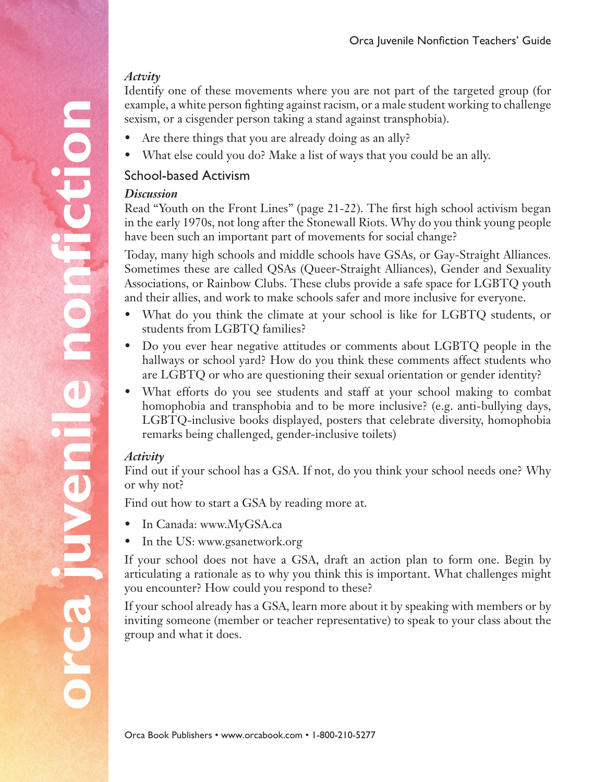# *Actvity*

Identify one of these movements where you are not part of the targeted group (for example, a white person fighting against racism, or a male student working to challenge sexism, or a cisgender person taking a stand against transphobia).

- Are there things that you are already doing as an ally?
- What else could you do? Make a list of ways that you could be an ally.

# School-based Activism

#### *Discussion*

Read "Youth on the Front Lines" (page 21-22). The first high school activism began in the early 1970s, not long after the Stonewall Riots. Why do you think young people have been such an important part of movements for social change?

Today, many high schools and middle schools have GSAs, or Gay-Straight Alliances. Sometimes these are called QSAs (Queer-Straight Alliances), Gender and Sexuality Associations, or Rainbow Clubs. These clubs provide a safe space for LGBTQ youth and their allies, and work to make schools safer and more inclusive for everyone.

- What do you think the climate at your school is like for LGBTQ students, or students from LGBTQ families?
- Do you ever hear negative attitudes or comments about LGBTQ people in the hallways or school yard? How do you think these comments affect students who are LGBTQ or who are questioning their sexual orientation or gender identity?
- What efforts do you see students and staff at your school making to combat homophobia and transphobia and to be more inclusive? (e.g. anti-bullying days, LGBTQ-inclusive books displayed, posters that celebrate diversity, homophobia remarks being challenged, gender-inclusive toilets)

## *Activity*

**orca juvenile nonfiction**

preaiuvenie

O

nonfiction

Find out if your school has a GSA. If not, do you think your school needs one? Why or why not?

Find out how to start a GSA by reading more at.

- In Canada: www.MyGSA.ca
- In the US: www.gsanetwork.org

If your school does not have a GSA, draft an action plan to form one. Begin by articulating a rationale as to why you think this is important. What challenges might you encounter? How could you respond to these?

If your school already has a GSA, learn more about it by speaking with members or by inviting someone (member or teacher representative) to speak to your class about the group and what it does.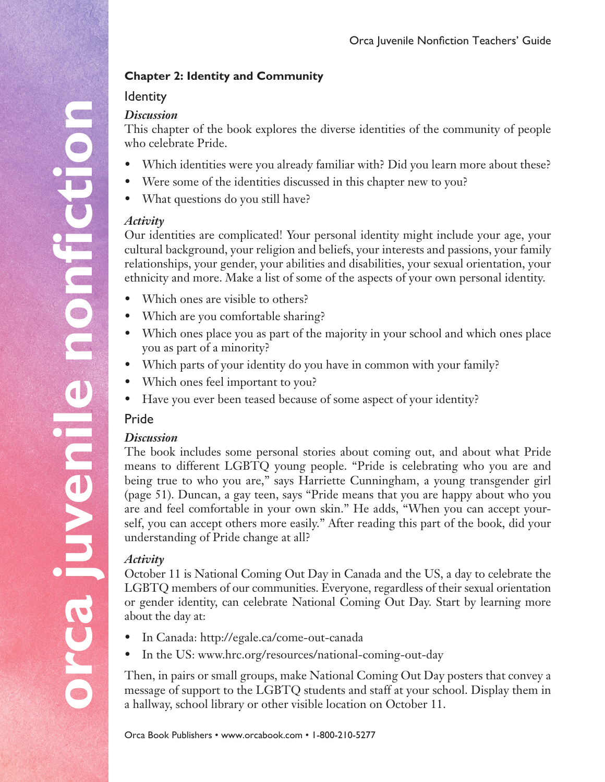# **Chapter 2: Identity and Community**

# **Identity**

#### *Discussion*

This chapter of the book explores the diverse identities of the community of people who celebrate Pride.

- Which identities were you already familiar with? Did you learn more about these?
- Were some of the identities discussed in this chapter new to you?
- What questions do you still have?

## *Activity*

Our identities are complicated! Your personal identity might include your age, your cultural background, your religion and beliefs, your interests and passions, your family relationships, your gender, your abilities and disabilities, your sexual orientation, your ethnicity and more. Make a list of some of the aspects of your own personal identity.

- Which ones are visible to others?
- Which are you comfortable sharing?
- Which ones place you as part of the majority in your school and which ones place you as part of a minority?
- Which parts of your identity do you have in common with your family?
- Which ones feel important to you?
- Have you ever been teased because of some aspect of your identity?

# Pride

# *Discussion*

The book includes some personal stories about coming out, and about what Pride means to different LGBTQ young people. "Pride is celebrating who you are and being true to who you are," says Harriette Cunningham, a young transgender girl (page 51). Duncan, a gay teen, says "Pride means that you are happy about who you are and feel comfortable in your own skin." He adds, "When you can accept yourself, you can accept others more easily." After reading this part of the book, did your understanding of Pride change at all?

## *Activity*

October 11 is National Coming Out Day in Canada and the US, a day to celebrate the LGBTQ members of our communities. Everyone, regardless of their sexual orientation or gender identity, can celebrate National Coming Out Day. Start by learning more about the day at:

- • In Canada: http://egale.ca/come-out-canada
- In the US: www.hrc.org/resources/national-coming-out-day

Then, in pairs or small groups, make National Coming Out Day posters that convey a message of support to the LGBTQ students and staff at your school. Display them in a hallway, school library or other visible location on October 11.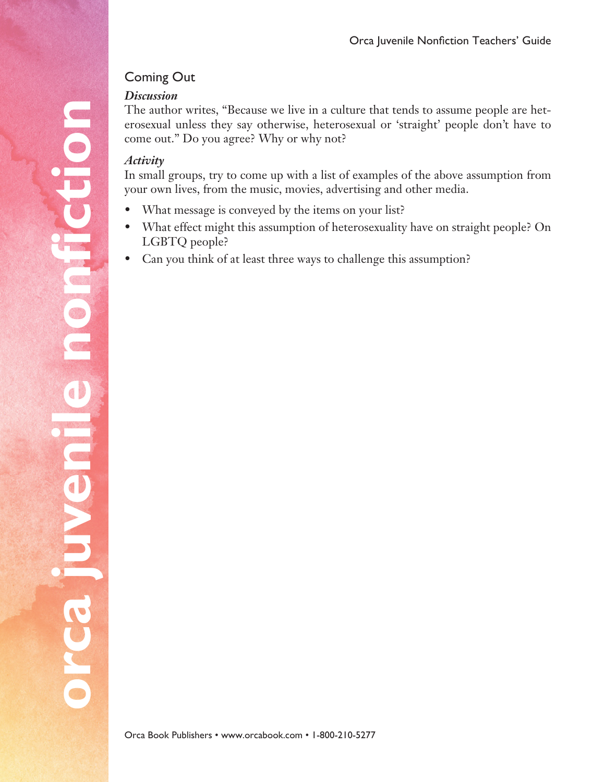# Coming Out

#### *Discussion*

The author writes, "Because we live in a culture that tends to assume people are heterosexual unless they say otherwise, heterosexual or 'straight' people don't have to come out." Do you agree? Why or why not?

## *Activity*

In small groups, try to come up with a list of examples of the above assumption from your own lives, from the music, movies, advertising and other media.

- What message is conveyed by the items on your list?
- What effect might this assumption of heterosexuality have on straight people? On LGBTQ people?
- Can you think of at least three ways to challenge this assumption?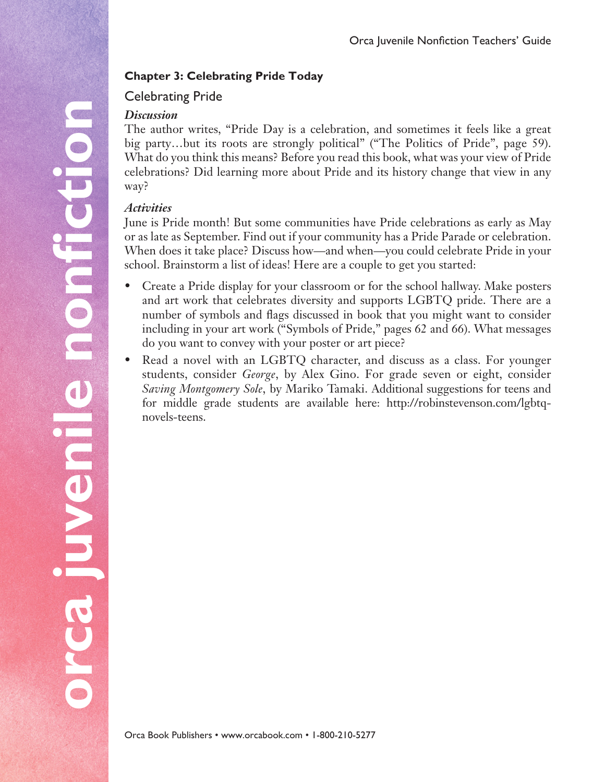# **Chapter 3: Celebrating Pride Today**

# Celebrating Pride

#### *Discussion*

The author writes, "Pride Day is a celebration, and sometimes it feels like a great big party…but its roots are strongly political" ("The Politics of Pride", page 59). What do you think this means? Before you read this book, what was your view of Pride celebrations? Did learning more about Pride and its history change that view in any way?

## *Activities*

June is Pride month! But some communities have Pride celebrations as early as May or as late as September. Find out if your community has a Pride Parade or celebration. When does it take place? Discuss how—and when—you could celebrate Pride in your school. Brainstorm a list of ideas! Here are a couple to get you started:

- Create a Pride display for your classroom or for the school hallway. Make posters and art work that celebrates diversity and supports LGBTQ pride. There are a number of symbols and flags discussed in book that you might want to consider including in your art work ("Symbols of Pride," pages 62 and 66). What messages do you want to convey with your poster or art piece?
- Read a novel with an LGBTQ character, and discuss as a class. For younger students, consider *George*, by Alex Gino. For grade seven or eight, consider *Saving Montgomery Sole*, by Mariko Tamaki. Additional suggestions for teens and for middle grade students are available here: http://robinstevenson.com/lgbtqnovels-teens.